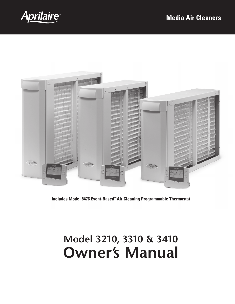



**Includes Model 8476 Event-Based™ Air Cleaning Programmable Thermostat**

# **Model 3210, 3310 & 3410 Owner's Manual**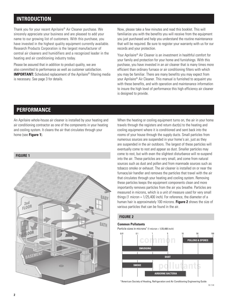# **Introduction**

Thank you for your recent Aprilaire® Air Cleaner purchase. We sincerely appreciate your business and are pleased to add your name to our growing list of customers. With this purchase, you have invested in the highest quality equipment currently available. Research Products Corporation is the largest manufacturer of central air cleaners and humidifiers and a recognized leader in the heating and air conditioning industry today.

Please be assured that in addition to product quality, we are also committed to performance as well as customer satisfaction. **IMPORTANT:** Scheduled replacement of the Aprilaire® filtering media is necessary. See page 3 for details.

Now, please take a few minutes and read this booklet. This will familiarize you with the benefits you will receive from the equipment you just purchased and help you understand the routine maintenance that will be required. Be sure to register your warranty with us for our records and your protection.

Your Aprilaire® Air Cleaner is an investment in healthful comfort for your family and protection for your home and furnishings. With this purchase, you have invested in an air cleaner that is many times more efficient than ordinary furnace or air conditioning filters with which you may be familiar. There are many benefits you may expect from your Aprilaire® Air Cleaner. This manual is furnished to acquaint you with these benefits, and with operation and maintenance information to insure the high level of performance this high efficiency air cleaner is designed to provide.

# **Performance**

An Aprilaire whole-house air cleaner is installed by your heating and air conditioning contractor as one of the components in your heating and cooling system. It cleans the air that circulates through your home (see **Figure 1**).



When the heating or cooling equipment turns on, the air in your home travels through the registers and return duct(s) to the heating and cooling equipment where it is conditioned and sent back into the rooms of your house through the supply ducts. Small particles from numerous sources are suspended in your home's air, just as they are suspended in the air outdoors. The largest of these particles will eventually come to rest and appear as dust. Smaller particles may come to rest, but with even the slightest disturbance will re-suspend into the air. These particles are very small, and come from natural sources such as dust and pollen and from manmade sources such as tobacco smoke or exhaust. The air cleaner is installed on or near the furnace/air handler and removes the particles that travel with the air that circulates through your heating and cooling system. Removing these particles keeps the equipment components clean and more importantly removes particles from the air you breathe. Particles are measured in microns, which is a unit of measure used for very small things (1 micron = 1/25,400 inch). For reference, the diameter of a human hair is approximately 100 microns. **Figure 2** shows the size of various particles that can be found in the air.

## **Figure 2**

#### **Common Pollutants**

Particle sizes in microns<sup>\*</sup> (1 micron = 1/25,400 inch)



\*American Society of Heating, Refrigeration and Air Conditioning Engineering Guide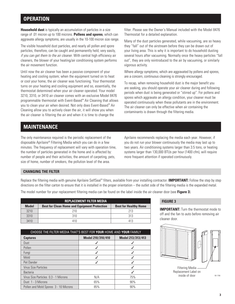## **Operation**

**Household dust** is typically an accumulation of particles in a size range of .01 micron up to 100 microns. **Pollens and spores**, which can aggravate allergy symptoms, are usually in the 10-100 micron size range.

The visible household dust particles, and nearly all pollen and spore particles, therefore, can be caught and permanently held, very easily, *if you can get them to the air cleaner.* With central high efficiency air cleaners, the blower of your heating/air conditioning system performs the air movement function.

Until now the air cleaner has been a passive component of your heating and cooling system; when the equipment turned on to heat or cool your home, the air cleaner was functioning. Your thermostat turns on your heating and cooling equipment and so, essentially, the thermostat determined when your air cleaner operated. Your model 3210, 3310, or 3410 air cleaner comes with an exclusive Model 8476 programmable thermostat with Event-Based™ Air Cleaning that allows you to clean your air when desired. Not only does Event-Based™ Air Cleaning allow you to actively clean the air, it will show you when the air cleaner is filtering the air and when it is time to change the

filter. Please see the Owner's Manual included with the Model 8476 Thermostat for a detailed explanation.

Many of the dust particles generated, while vacuuming, are so heavy they "fall" out of the airstream before they can be drawn out of your living area. This is why it is important to do household dusting several hours after vacuuming. Normally once the heavy particles "fall out", they are only reintroduced to the air by vacuuming, or similarly vigorous activity.

Where allergy symptoms, which are aggravated by pollens and spores, are a concern, continuous cleaning is strongly encouraged.

To recap, when removing household dust is the major benefit you are seeking, you should operate your air cleaner during and following periods when dust is being generated or "stirred up". For pollens and spores which aggravate an allergy condition, your cleaner must be operated continuously when these pollutants are in the environment. The air cleaner can only be effective when air containing the contaminants is drawn through the filtering media.

## **Maintenance**

The only maintenance required is the periodic replacement of the disposable Aprilaire® Filtering Media which you can do in a few minutes. The frequency of replacement will vary with operation time, the number of particles generated in the home and is affected by: number of people and their activities, the amount of carpeting, pets, size of home, number of smokers, the pollution level of the area.

Aprilaire recommends replacing the media each year. However, if you do not run your blower continuously the media may last up to two years. Air conditioning systems larger than 3.5 tons, or heating systems larger than 130,000 BTUs per hour (1400 cfm), will require more frequent attention if operated continuously.

## **Changing the Filter**

Replace the filtering media with genuine Aprilaire SelfSeal™ filters, available from your installing contractor. **IMPORTANT:** Follow the step by step directions on the filter carton to ensure that it is installed in the proper orientation – the outlet side of the filtering media is the expanded metal.

The model number for your replacement filtering media can be found on the label inside the air cleaner door (see **Figure 3**).

| <b>REPLACEMENT FILTER MEDIA</b> |                                                     |                              |  |  |  |
|---------------------------------|-----------------------------------------------------|------------------------------|--|--|--|
| <b>Model</b>                    | <b>Best for Clean Home and Equipment Protection</b> | <b>Best for Healthy Home</b> |  |  |  |
| 3210                            | 21 N                                                | 213                          |  |  |  |
| 3310                            | 310                                                 | 313                          |  |  |  |
| 3410                            | 41 N                                                | 413                          |  |  |  |

| CHOOSE THE FILTER MEDIA THAT'S BEST FOR YOUR HOME AND YOUR FAMILY |                   |                   |  |  |  |
|-------------------------------------------------------------------|-------------------|-------------------|--|--|--|
| <b>Captures</b>                                                   | Model 210/310/410 | Model 213/313/413 |  |  |  |
| Dust                                                              |                   |                   |  |  |  |
| Pollen                                                            |                   |                   |  |  |  |
| Fungi                                                             |                   |                   |  |  |  |
| Mold                                                              |                   |                   |  |  |  |
| Pet Dander                                                        |                   |                   |  |  |  |
| <b>Virus Size Particles</b>                                       |                   |                   |  |  |  |
| <b>Bacteria</b>                                                   |                   |                   |  |  |  |
| Virus Size Particles 0.3 - 1 Microns                              | N/A               | 75%               |  |  |  |
| Dust 1 - 3 Microns                                                | 65%               | 90%               |  |  |  |
| Pollen and Mold Spores 3 - 10 Microns                             | 85%               | 90%               |  |  |  |

#### **Figure 3**

**IMPORTANT:** Turn the thermostat mode to off and the fan to auto before removing air cleaner door.